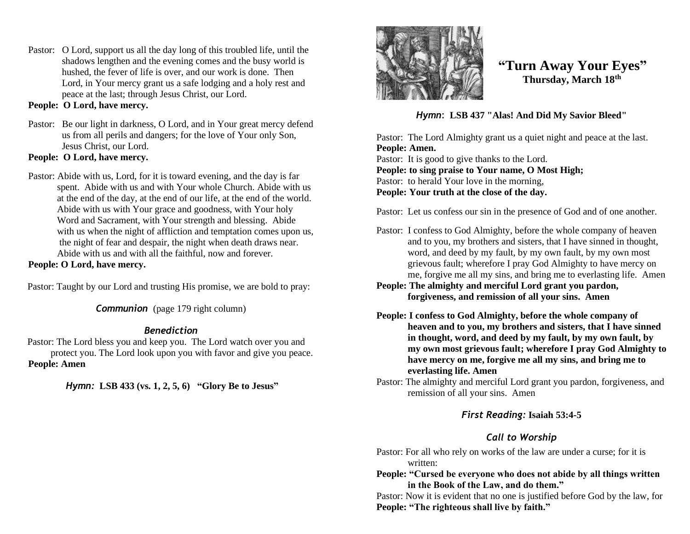Pastor: O Lord, support us all the day long of this troubled life, until the shadows lengthen and the evening comes and the busy world is hushed, the fever of life is over, and our work is done. Then Lord, in Your mercy grant us a safe lodging and a holy rest and peace at the last; through Jesus Christ, our Lord.

#### **People: O Lord, have mercy.**

Pastor: Be our light in darkness, O Lord, and in Your great mercy defend us from all perils and dangers; for the love of Your only Son, Jesus Christ, our Lord.

# **People: O Lord, have mercy.**

Pastor: Abide with us, Lord, for it is toward evening, and the day is far spent. Abide with us and with Your whole Church. Abide with us at the end of the day, at the end of our life, at the end of the world. Abide with us with Your grace and goodness, with Your holy Word and Sacrament, with Your strength and blessing. Abide with us when the night of affliction and temptation comes upon us, the night of fear and despair, the night when death draws near. Abide with us and with all the faithful, now and forever.

#### **People: O Lord, have mercy.**

Pastor: Taught by our Lord and trusting His promise, we are bold to pray:

*Communion* (page 179 right column)

#### *Benediction*

Pastor: The Lord bless you and keep you. The Lord watch over you and protect you. The Lord look upon you with favor and give you peace. **People: Amen**

*Hymn:* **LSB 433 (vs. 1, 2, 5, 6) "Glory Be to Jesus"**



# **"Turn Away Your Eyes" Thursday, March 18th**

*Hymn*: **LSB 437 "Alas! And Did My Savior Bleed"**

Pastor: The Lord Almighty grant us a quiet night and peace at the last. **People: Amen.** Pastor: It is good to give thanks to the Lord. **People: to sing praise to Your name, O Most High;** Pastor: to herald Your love in the morning, **People: Your truth at the close of the day.** 

Pastor: Let us confess our sin in the presence of God and of one another.

- Pastor: I confess to God Almighty, before the whole company of heaven and to you, my brothers and sisters, that I have sinned in thought, word, and deed by my fault, by my own fault, by my own most grievous fault; wherefore I pray God Almighty to have mercy on me, forgive me all my sins, and bring me to everlasting life. Amen
- **People: The almighty and merciful Lord grant you pardon, forgiveness, and remission of all your sins. Amen**
- **People: I confess to God Almighty, before the whole company of heaven and to you, my brothers and sisters, that I have sinned in thought, word, and deed by my fault, by my own fault, by my own most grievous fault; wherefore I pray God Almighty to have mercy on me, forgive me all my sins, and bring me to everlasting life. Amen**
- Pastor: The almighty and merciful Lord grant you pardon, forgiveness, and remission of all your sins. Amen

### *First Reading:* **Isaiah 53:4-5**

# *Call to Worship*

Pastor: For all who rely on works of the law are under a curse; for it is written:

#### **People: "Cursed be everyone who does not abide by all things written in the Book of the Law, and do them."**

Pastor: Now it is evident that no one is justified before God by the law, for **People: "The righteous shall live by faith."**